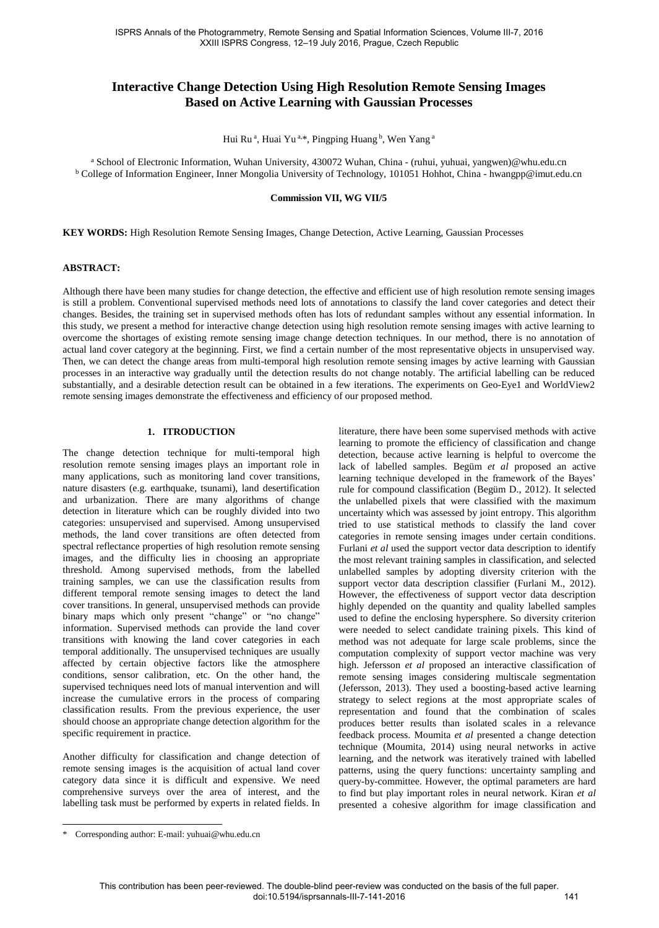# **Interactive Change Detection Using High Resolution Remote Sensing Images Based on Active Learning with Gaussian Processes**

Hui Ru<sup>a</sup>, Huai Yu<sup>a,\*</sup>, Pingping Huang <sup>b</sup>, Wen Yang <sup>a</sup>

a School of Electronic Information, Wuhan University, 430072 Wuhan, China - (ruhui, yuhuai, yangwen)@whu.edu.cn <sup>b</sup> College of Information Engineer, Inner Mongolia University of Technology, 101051 Hohhot, China - hwangpp@imut.edu.cn

#### **Commission VII, WG VII/5**

**KEY WORDS:** High Resolution Remote Sensing Images, Change Detection, Active Learning, Gaussian Processes

# **ABSTRACT:**

Although there have been many studies for change detection, the effective and efficient use of high resolution remote sensing images is still a problem. Conventional supervised methods need lots of annotations to classify the land cover categories and detect their changes. Besides, the training set in supervised methods often has lots of redundant samples without any essential information. In this study, we present a method for interactive change detection using high resolution remote sensing images with active learning to overcome the shortages of existing remote sensing image change detection techniques. In our method, there is no annotation of actual land cover category at the beginning. First, we find a certain number of the most representative objects in unsupervised way. Then, we can detect the change areas from multi-temporal high resolution remote sensing images by active learning with Gaussian processes in an interactive way gradually until the detection results do not change notably. The artificial labelling can be reduced substantially, and a desirable detection result can be obtained in a few iterations. The experiments on Geo-Eye1 and WorldView2 remote sensing images demonstrate the effectiveness and efficiency of our proposed method.

# **1. ITRODUCTION**

The change detection technique for multi-temporal high resolution remote sensing images plays an important role in many applications, such as monitoring land cover transitions, nature disasters (e.g. earthquake, tsunami), land desertification and urbanization. There are many algorithms of change detection in literature which can be roughly divided into two categories: unsupervised and supervised. Among unsupervised methods, the land cover transitions are often detected from spectral reflectance properties of high resolution remote sensing images, and the difficulty lies in choosing an appropriate threshold. Among supervised methods, from the labelled training samples, we can use the classification results from different temporal remote sensing images to detect the land cover transitions. In general, unsupervised methods can provide binary maps which only present "change" or "no change" information. Supervised methods can provide the land cover transitions with knowing the land cover categories in each temporal additionally. The unsupervised techniques are usually affected by certain objective factors like the atmosphere conditions, sensor calibration, etc. On the other hand, the supervised techniques need lots of manual intervention and will increase the cumulative errors in the process of comparing classification results. From the previous experience, the user should choose an appropriate change detection algorithm for the specific requirement in practice.

Another difficulty for classification and change detection of remote sensing images is the acquisition of actual land cover category data since it is difficult and expensive. We need comprehensive surveys over the area of interest, and the labelling task must be performed by experts in related fields. In literature, there have been some supervised methods with active learning to promote the efficiency of classification and change detection, because active learning is helpful to overcome the lack of labelled samples. Begüm *et al* proposed an active learning technique developed in the framework of the Bayes' rule for compound classification (Begüm D., 2012). It selected the unlabelled pixels that were classified with the maximum uncertainty which was assessed by joint entropy. This algorithm tried to use statistical methods to classify the land cover categories in remote sensing images under certain conditions. Furlani *et al* used the support vector data description to identify the most relevant training samples in classification, and selected unlabelled samples by adopting diversity criterion with the support vector data description classifier (Furlani M., 2012). However, the effectiveness of support vector data description highly depended on the quantity and quality labelled samples used to define the enclosing hypersphere. So diversity criterion were needed to select candidate training pixels. This kind of method was not adequate for large scale problems, since the computation complexity of support vector machine was very high. Jefersson *et al* proposed an interactive classification of remote sensing images considering multiscale segmentation (Jefersson, 2013). They used a boosting-based active learning strategy to select regions at the most appropriate scales of representation and found that the combination of scales produces better results than isolated scales in a relevance feedback process. Moumita *et al* presented a change detection technique (Moumita, 2014) using neural networks in active learning, and the network was iteratively trained with labelled patterns, using the query functions: uncertainty sampling and query-by-committee. However, the optimal parameters are hard to find but play important roles in neural network. Kiran *et al* presented a cohesive algorithm for image classification and

 $\overline{a}$ 

<sup>\*</sup> Corresponding author: E-mail: yuhuai@whu.edu.cn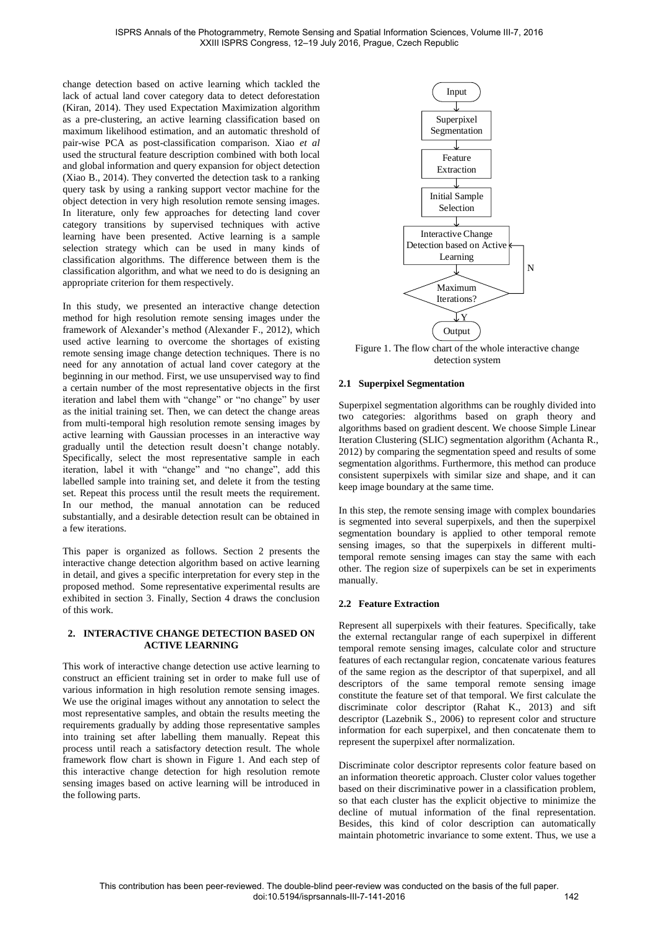change detection based on active learning which tackled the lack of actual land cover category data to detect deforestation (Kiran, 2014). They used Expectation Maximization algorithm as a pre-clustering, an active learning classification based on maximum likelihood estimation, and an automatic threshold of pair-wise PCA as post-classification comparison. Xiao *et al* used the structural feature description combined with both local and global information and query expansion for object detection (Xiao B., 2014). They converted the detection task to a ranking query task by using a ranking support vector machine for the object detection in very high resolution remote sensing images. In literature, only few approaches for detecting land cover category transitions by supervised techniques with active learning have been presented. Active learning is a sample selection strategy which can be used in many kinds of classification algorithms. The difference between them is the classification algorithm, and what we need to do is designing an appropriate criterion for them respectively.

In this study, we presented an interactive change detection method for high resolution remote sensing images under the framework of Alexander's method (Alexander F., 2012), which used active learning to overcome the shortages of existing remote sensing image change detection techniques. There is no need for any annotation of actual land cover category at the beginning in our method. First, we use unsupervised way to find a certain number of the most representative objects in the first iteration and label them with "change" or "no change" by user as the initial training set. Then, we can detect the change areas from multi-temporal high resolution remote sensing images by active learning with Gaussian processes in an interactive way gradually until the detection result doesn't change notably. Specifically, select the most representative sample in each iteration, label it with "change" and "no change", add this labelled sample into training set, and delete it from the testing set. Repeat this process until the result meets the requirement. In our method, the manual annotation can be reduced substantially, and a desirable detection result can be obtained in a few iterations.

This paper is organized as follows. Section 2 presents the interactive change detection algorithm based on active learning in detail, and gives a specific interpretation for every step in the proposed method. Some representative experimental results are exhibited in section 3. Finally, Section 4 draws the conclusion of this work.

## **2. INTERACTIVE CHANGE DETECTION BASED ON ACTIVE LEARNING**

This work of interactive change detection use active learning to construct an efficient training set in order to make full use of various information in high resolution remote sensing images. We use the original images without any annotation to select the most representative samples, and obtain the results meeting the requirements gradually by adding those representative samples into training set after labelling them manually. Repeat this process until reach a satisfactory detection result. The whole framework flow chart is shown in Figure 1. And each step of this interactive change detection for high resolution remote sensing images based on active learning will be introduced in the following parts.



Figure 1. The flow chart of the whole interactive change detection system

# **2.1 Superpixel Segmentation**

Superpixel segmentation algorithms can be roughly divided into two categories: algorithms based on graph theory and algorithms based on gradient descent. We choose Simple Linear Iteration Clustering (SLIC) segmentation algorithm (Achanta R., 2012) by comparing the segmentation speed and results of some segmentation algorithms. Furthermore, this method can produce consistent superpixels with similar size and shape, and it can keep image boundary at the same time.

In this step, the remote sensing image with complex boundaries is segmented into several superpixels, and then the superpixel segmentation boundary is applied to other temporal remote sensing images, so that the superpixels in different multitemporal remote sensing images can stay the same with each other. The region size of superpixels can be set in experiments manually.

# **2.2 Feature Extraction**

Represent all superpixels with their features. Specifically, take the external rectangular range of each superpixel in different temporal remote sensing images, calculate color and structure features of each rectangular region, concatenate various features of the same region as the descriptor of that superpixel, and all descriptors of the same temporal remote sensing image constitute the feature set of that temporal. We first calculate the discriminate color descriptor (Rahat K., 2013) and sift descriptor (Lazebnik S., 2006) to represent color and structure information for each superpixel, and then concatenate them to represent the superpixel after normalization.

Discriminate color descriptor represents color feature based on an information theoretic approach. Cluster color values together based on their discriminative power in a classification problem, so that each cluster has the explicit objective to minimize the decline of mutual information of the final representation. Besides, this kind of color description can automatically maintain photometric invariance to some extent. Thus, we use a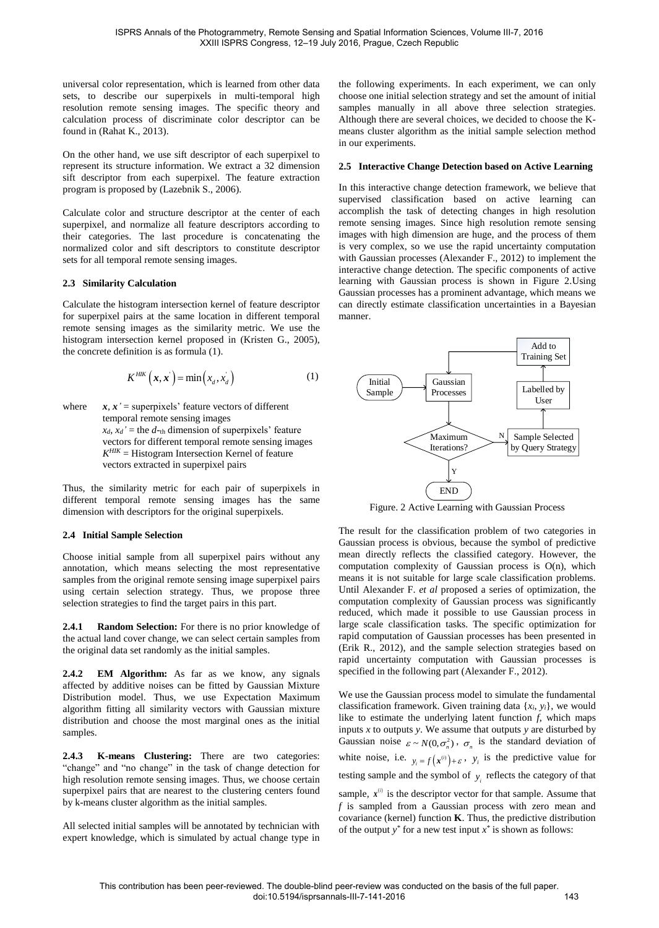universal color representation, which is learned from other data sets, to describe our superpixels in multi-temporal high resolution remote sensing images. The specific theory and calculation process of discriminate color descriptor can be found in (Rahat K., 2013).

On the other hand, we use sift descriptor of each superpixel to represent its structure information. We extract a 32 dimension sift descriptor from each superpixel. The feature extraction program is proposed by (Lazebnik S., 2006).

Calculate color and structure descriptor at the center of each superpixel, and normalize all feature descriptors according to their categories. The last procedure is concatenating the normalized color and sift descriptors to constitute descriptor sets for all temporal remote sensing images.

## **2.3 Similarity Calculation**

Calculate the histogram intersection kernel of feature descriptor for superpixel pairs at the same location in different temporal remote sensing images as the similarity metric. We use the histogram intersection kernel proposed in (Kristen G., 2005), the concrete definition is as formula (1).

$$
K^{HIK}(\boldsymbol{x}, \boldsymbol{x}^{\cdot}) = \min(x_d, x_d^{\cdot})
$$
 (1)

where  $x, x' =$  superpixels' feature vectors of different temporal remote sensing images  $x_d$ ,  $x_d$ ' = the *d*-th dimension of superpixels' feature vectors for different temporal remote sensing images  $K<sup>HIK</sup>$  = Histogram Intersection Kernel of feature vectors extracted in superpixel pairs

Thus, the similarity metric for each pair of superpixels in different temporal remote sensing images has the same dimension with descriptors for the original superpixels.

# **2.4 Initial Sample Selection**

Choose initial sample from all superpixel pairs without any annotation, which means selecting the most representative samples from the original remote sensing image superpixel pairs using certain selection strategy. Thus, we propose three selection strategies to find the target pairs in this part.

**2.4.1 Random Selection:** For there is no prior knowledge of the actual land cover change, we can select certain samples from the original data set randomly as the initial samples.

**2.4.2 EM Algorithm:** As far as we know, any signals affected by additive noises can be fitted by Gaussian Mixture Distribution model. Thus, we use Expectation Maximum algorithm fitting all similarity vectors with Gaussian mixture distribution and choose the most marginal ones as the initial samples.

**2.4.3 K-means Clustering:** There are two categories: "change" and "no change" in the task of change detection for high resolution remote sensing images. Thus, we choose certain superpixel pairs that are nearest to the clustering centers found by k-means cluster algorithm as the initial samples.

All selected initial samples will be annotated by technician with expert knowledge, which is simulated by actual change type in the following experiments. In each experiment, we can only choose one initial selection strategy and set the amount of initial samples manually in all above three selection strategies. Although there are several choices, we decided to choose the Kmeans cluster algorithm as the initial sample selection method in our experiments.

## **2.5 Interactive Change Detection based on Active Learning**

In this interactive change detection framework, we believe that supervised classification based on active learning can accomplish the task of detecting changes in high resolution remote sensing images. Since high resolution remote sensing images with high dimension are huge, and the process of them is very complex, so we use the rapid uncertainty computation with Gaussian processes (Alexander F., 2012) to implement the interactive change detection. The specific components of active learning with Gaussian process is shown in Figure 2.Using Gaussian processes has a prominent advantage, which means we can directly estimate classification uncertainties in a Bayesian manner.



Figure. 2 Active Learning with Gaussian Process

The result for the classification problem of two categories in Gaussian process is obvious, because the symbol of predictive mean directly reflects the classified category. However, the computation complexity of Gaussian process is  $O(n)$ , which means it is not suitable for large scale classification problems. Until Alexander F. *et al* proposed a series of optimization, the computation complexity of Gaussian process was significantly reduced, which made it possible to use Gaussian process in large scale classification tasks. The specific optimization for rapid computation of Gaussian processes has been presented in (Erik R., 2012), and the sample selection strategies based on rapid uncertainty computation with Gaussian processes is specified in the following part (Alexander F., 2012).

We use the Gaussian process model to simulate the fundamental classification framework. Given training data {*xi*, *yi*}, we would like to estimate the underlying latent function *f*, which maps inputs *x* to outputs *y*. We assume that outputs *y* are disturbed by Gaussian noise  $\varepsilon \sim N(0, \sigma_n^2)$ ,  $\sigma_n$  is the standard deviation of white noise, i.e.  $y_i = f(x^{(i)}) + \varepsilon$ ,  $y_i$  is the predictive value for testing sample and the symbol of  $y_i$  reflects the category of that sample,  $x^{(i)}$  is the descriptor vector for that sample. Assume that

*f* is sampled from a Gaussian process with zero mean and covariance (kernel) function **K**. Thus, the predictive distribution of the output  $y^*$  for a new test input  $x^*$  is shown as follows: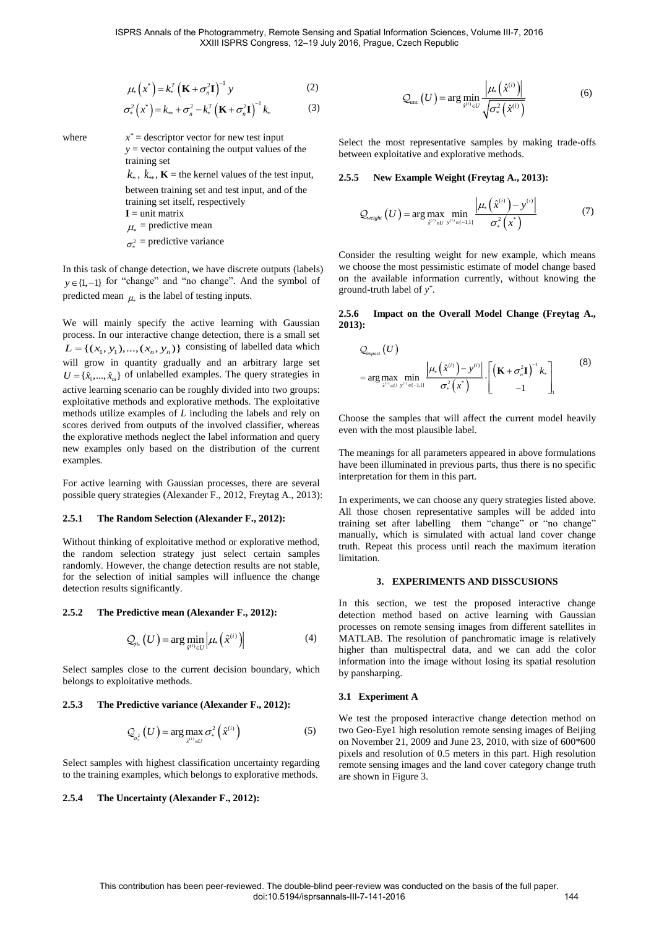$$
\mu_*\left(x^*\right) = k_*^T \left(\mathbf{K} + \sigma_*^2 \mathbf{I}\right)^{-1} y \tag{2}
$$

$$
\sigma_*^2\left(x^*\right) = k_{**} + \sigma_n^2 - k_*^T\left(\mathbf{K} + \sigma_n^2\mathbf{I}\right)^{-1}k_*\tag{3}
$$

where *x*

 $x^*$  = descriptor vector for new test input  $y =$  vector containing the output values of the training set

 $k_*, k_{**}, \mathbf{K}$  = the kernel values of the test input, between training set and test input, and of the training set itself, respectively  $I =$ unit matrix  $\mu_*$  = predictive mean  $\sigma_*^2$  = predictive variance

In this task of change detection, we have discrete outputs (labels)  $y \in \{1, -1\}$  for "change" and "no change". And the symbol of predicted mean  $\mu$  is the label of testing inputs.

We will mainly specify the active learning with Gaussian process. In our interactive change detection, there is a small set process. In our interactive change detection, there is a small set  $L = \{(x_1, y_1), ..., (x_n, y_n)\}\)$  consisting of labelled data which will grow in quantity gradually and an arbitrary large set  $U = \{\hat{x}_1, \dots, \hat{x}_m\}$  of unlabelled examples. The query strategies in active learning scenario can be roughly divided into two groups: exploitative methods and explorative methods. The exploitative methods utilize examples of *L* including the labels and rely on scores derived from outputs of the involved classifier, whereas the explorative methods neglect the label information and query new examples only based on the distribution of the current examples.

For active learning with Gaussian processes, there are several possible query strategies (Alexander F., 2012, Freytag A., 2013):

#### **2.5.1 The Random Selection (Alexander F., 2012):**

Without thinking of exploitative method or explorative method, the random selection strategy just select certain samples randomly. However, the change detection results are not stable, for the selection of initial samples will influence the change detection results significantly.

#### **2.5.2 The Predictive mean (Alexander F., 2012):**

$$
\mathcal{Q}_{\mu_{\ast}}\left(U\right) = \arg\min_{\hat{x}^{(i)} \in U} \left|\mu_{\ast}\left(\hat{x}^{(i)}\right)\right| \tag{4}
$$

Select samples close to the current decision boundary, which belongs to exploitative methods.

#### **2.5.3 The Predictive variance (Alexander F., 2012):**

$$
\mathcal{Q}_{\sigma_*^2}(U) = \arg \max_{\hat{x}^{(i)} \in U} \sigma_*^2(\hat{x}^{(i)})
$$
\n(5)

Select samples with highest classification uncertainty regarding to the training examples, which belongs to explorative methods.

## **2.5.4 The Uncertainty (Alexander F., 2012):**

$$
\mathcal{Q}_{\text{unc}}\left(U\right) = \arg\min_{\hat{x}^{(i)} \in U} \frac{\left|\mu_{*}\left(\hat{x}^{(i)}\right)\right|}{\sqrt{\sigma_{*}^{2}\left(\hat{x}^{(i)}\right)}}
$$
(6)

Select the most representative samples by making trade-offs between exploitative and explorative methods.

## **2.5.5 New Example Weight (Freytag A., 2013):**

$$
Q_{weight}\left(U\right) = \arg\max_{\hat{x}^{(i)} \in U} \min_{y^{(i)} \in \{-1,1\}} \frac{\left|\mu_{*}\left(\hat{x}^{(i)}\right) - y^{(i)}\right|}{\sigma_{*}^{2}\left(x^{*}\right)}
$$
(7)

Consider the resulting weight for new example, which means we choose the most pessimistic estimate of model change based on the available information currently, without knowing the ground-truth label of *y \** .

#### **2.5.6 Impact on the Overall Model Change (Freytag A., 2013):**

$$
Q_{\text{impact}}(U)
$$
\n
$$
= \arg \max_{\hat{x}^{(i)} \in U} \min_{y^{(i)} \in (-1,1)} \frac{\left| \mu_{*}(\hat{x}^{(i)}) - y^{(i)} \right|}{\sigma_{*}^{2}(\boldsymbol{x}^{*})} \cdot \left[ \left( \mathbf{K} + \sigma_{n}^{2} \mathbf{I} \right)^{-1} k_{*} \right]_{1} \tag{8}
$$

Choose the samples that will affect the current model heavily even with the most plausible label.

The meanings for all parameters appeared in above formulations have been illuminated in previous parts, thus there is no specific interpretation for them in this part.

In experiments, we can choose any query strategies listed above. All those chosen representative samples will be added into training set after labelling them "change" or "no change" manually, which is simulated with actual land cover change truth. Repeat this process until reach the maximum iteration limitation.

#### **3. EXPERIMENTS AND DISSCUSIONS**

In this section, we test the proposed interactive change detection method based on active learning with Gaussian processes on remote sensing images from different satellites in MATLAB. The resolution of panchromatic image is relatively higher than multispectral data, and we can add the color information into the image without losing its spatial resolution by pansharping.

#### **3.1 Experiment A**

We test the proposed interactive change detection method on two Geo-Eye1 high resolution remote sensing images of Beijing on November 21, 2009 and June 23, 2010, with size of 600\*600 pixels and resolution of 0.5 meters in this part. High resolution remote sensing images and the land cover category change truth are shown in Figure 3.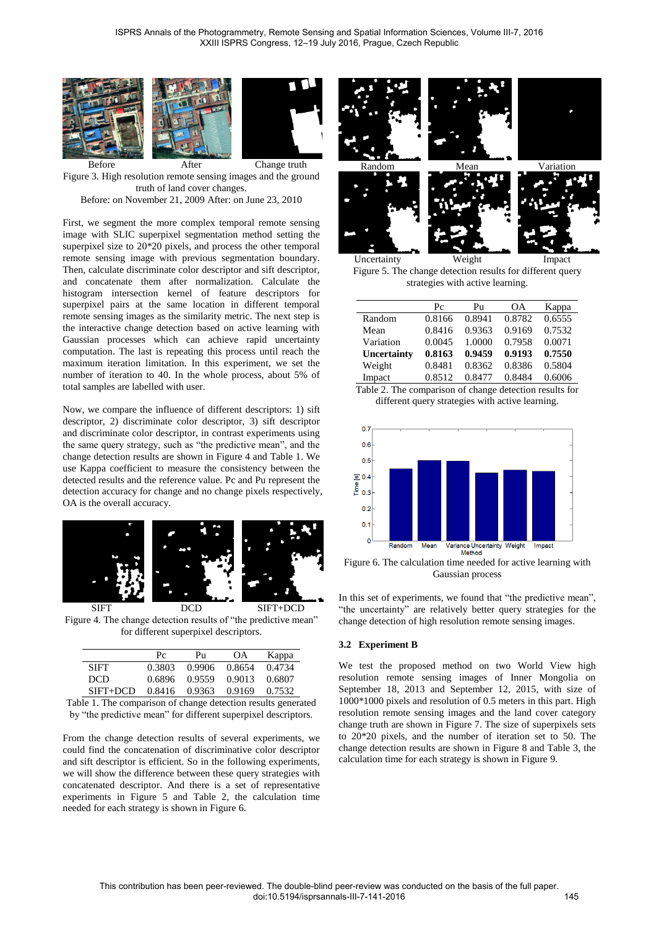





Before After Change truth Figure 3. High resolution remote sensing images and the ground truth of land cover changes. Before: on November 21, 2009 After: on June 23, 2010

First, we segment the more complex temporal remote sensing image with SLIC superpixel segmentation method setting the superpixel size to 20\*20 pixels, and process the other temporal remote sensing image with previous segmentation boundary. Then, calculate discriminate color descriptor and sift descriptor, and concatenate them after normalization. Calculate the histogram intersection kernel of feature descriptors for superpixel pairs at the same location in different temporal remote sensing images as the similarity metric. The next step is the interactive change detection based on active learning with Gaussian processes which can achieve rapid uncertainty computation. The last is repeating this process until reach the maximum iteration limitation. In this experiment, we set the number of iteration to 40. In the whole process, about 5% of total samples are labelled with user.

Now, we compare the influence of different descriptors: 1) sift descriptor, 2) discriminate color descriptor, 3) sift descriptor and discriminate color descriptor, in contrast experiments using the same query strategy, such as "the predictive mean", and the change detection results are shown in Figure 4 and Table 1. We use Kappa coefficient to measure the consistency between the detected results and the reference value. Pc and Pu represent the detection accuracy for change and no change pixels respectively, OA is the overall accuracy.



SIFT DCD SIFT+DCD Figure 4. The change detection results of "the predictive mean" for different superpixel descriptors.

|          | Pc     | Pu     | OA.    | Kappa  |
|----------|--------|--------|--------|--------|
| SIFT     | 0.3803 | 0.9906 | 0.8654 | 0.4734 |
| DCD.     | 0.6896 | 0.9559 | 0.9013 | 0.6807 |
| SIFT+DCD | 0.8416 | 0.9363 | 0.9169 | 0.7532 |

Table 1. The comparison of change detection results generated by "the predictive mean" for different superpixel descriptors.

From the change detection results of several experiments, we could find the concatenation of discriminative color descriptor and sift descriptor is efficient. So in the following experiments, we will show the difference between these query strategies with concatenated descriptor. And there is a set of representative experiments in Figure 5 and Table 2, the calculation time needed for each strategy is shown in Figure 6.



Uncertainty Weight Impact Figure 5. The change detection results for different query strategies with active learning.

|             | Pc     | Pu     | <b>OA</b> | Kappa  |
|-------------|--------|--------|-----------|--------|
| Random      | 0.8166 | 0.8941 | 0.8782    | 0.6555 |
| Mean        | 0.8416 | 0.9363 | 0.9169    | 0.7532 |
| Variation   | 0.0045 | 1.0000 | 0.7958    | 0.0071 |
| Uncertainty | 0.8163 | 0.9459 | 0.9193    | 0.7550 |
| Weight      | 0.8481 | 0.8362 | 0.8386    | 0.5804 |
| Impact      | 0.8512 | 0.8477 | 0.8484    | 0.6006 |
|             |        |        |           |        |

Table 2. The comparison of change detection results for different query strategies with active learning.



Figure 6. The calculation time needed for active learning with Gaussian process

In this set of experiments, we found that "the predictive mean", "the uncertainty" are relatively better query strategies for the change detection of high resolution remote sensing images.

# **3.2 Experiment B**

We test the proposed method on two World View high resolution remote sensing images of Inner Mongolia on September 18, 2013 and September 12, 2015, with size of 1000\*1000 pixels and resolution of 0.5 meters in this part. High resolution remote sensing images and the land cover category change truth are shown in Figure 7. The size of superpixels sets to 20\*20 pixels, and the number of iteration set to 50. The change detection results are shown in Figure 8 and Table 3, the calculation time for each strategy is shown in Figure 9.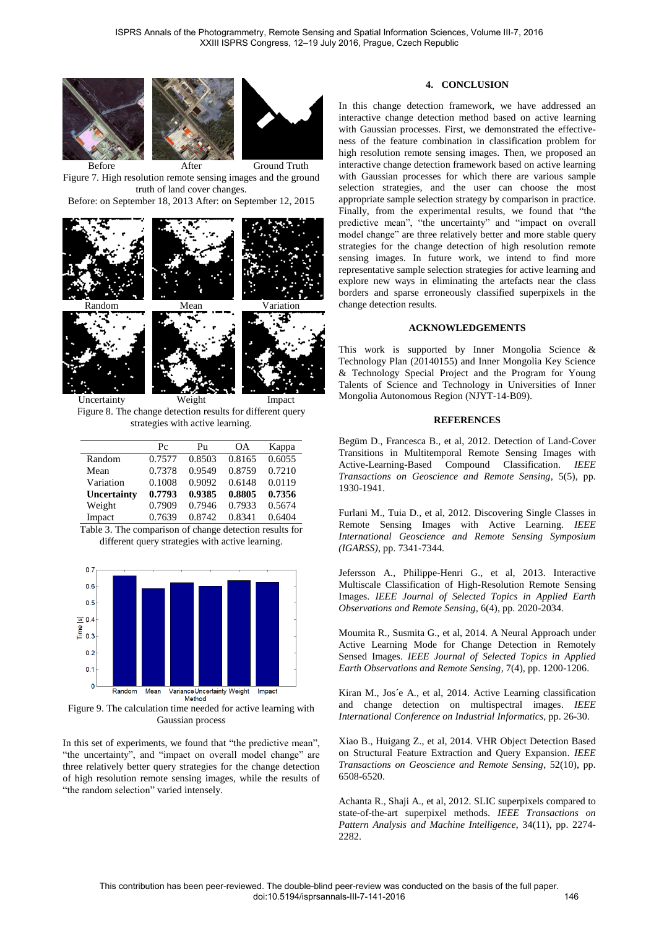





Before After Ground Truth Figure 7. High resolution remote sensing images and the ground truth of land cover changes.

Before: on September 18, 2013 After: on September 12, 2015



Figure 8. The change detection results for different query strategies with active learning.

|             | $P_{C}$ | Pu     | OΑ     | Kappa  |
|-------------|---------|--------|--------|--------|
| Random      | 0.7577  | 0.8503 | 0.8165 | 0.6055 |
| Mean        | 0.7378  | 0.9549 | 0.8759 | 0.7210 |
| Variation   | 0.1008  | 0.9092 | 0.6148 | 0.0119 |
| Uncertainty | 0.7793  | 0.9385 | 0.8805 | 0.7356 |
| Weight      | 0.7909  | 0.7946 | 0.7933 | 0.5674 |
| Impact      | 0.7639  | 0.8742 | 0.8341 | 0.6404 |

Table 3. The comparison of change detection results for different query strategies with active learning.



Figure 9. The calculation time needed for active learning with Gaussian process

In this set of experiments, we found that "the predictive mean", "the uncertainty", and "impact on overall model change" are three relatively better query strategies for the change detection of high resolution remote sensing images, while the results of "the random selection" varied intensely.

# **4. CONCLUSION**

In this change detection framework, we have addressed an interactive change detection method based on active learning with Gaussian processes. First, we demonstrated the effectiveness of the feature combination in classification problem for high resolution remote sensing images. Then, we proposed an interactive change detection framework based on active learning with Gaussian processes for which there are various sample selection strategies, and the user can choose the most appropriate sample selection strategy by comparison in practice. Finally, from the experimental results, we found that "the predictive mean", "the uncertainty" and "impact on overall model change" are three relatively better and more stable query strategies for the change detection of high resolution remote sensing images. In future work, we intend to find more representative sample selection strategies for active learning and explore new ways in eliminating the artefacts near the class borders and sparse erroneously classified superpixels in the change detection results.

## **ACKNOWLEDGEMENTS**

This work is supported by Inner Mongolia Science & Technology Plan (20140155) and Inner Mongolia Key Science & Technology Special Project and the Program for Young Talents of Science and Technology in Universities of Inner Mongolia Autonomous Region (NJYT-14-B09).

## **REFERENCES**

Begüm D., Francesca B., et al, 2012. Detection of Land-Cover Transitions in Multitemporal Remote Sensing Images with Active-Learning-Based Compound Classification. *IEEE Transactions on Geoscience and Remote Sensing*, 5(5), pp. 1930-1941.

Furlani M., Tuia D., et al, 2012. Discovering Single Classes in Remote Sensing Images with Active Learning. *IEEE International Geoscience and Remote Sensing Symposium (IGARSS)*, pp. 7341-7344.

Jefersson A., Philippe-Henri G., et al, 2013. Interactive Multiscale Classification of High-Resolution Remote Sensing Images. *IEEE Journal of Selected Topics in Applied Earth Observations and Remote Sensing*, 6(4), pp. 2020-2034.

Moumita R., Susmita G., et al, 2014. A Neural Approach under Active Learning Mode for Change Detection in Remotely Sensed Images. *IEEE Journal of Selected Topics in Applied Earth Observations and Remote Sensing*, 7(4), pp. 1200-1206.

Kiran M., Jos é A., et al, 2014. Active Learning classification and change detection on multispectral images. *IEEE International Conference on Industrial Informatics*, pp. 26-30.

Xiao B., Huigang Z., et al, 2014. VHR Object Detection Based on Structural Feature Extraction and Query Expansion. *IEEE Transactions on Geoscience and Remote Sensing*, 52(10), pp. 6508-6520.

Achanta R., Shaji A., et al, 2012. SLIC superpixels compared to state-of-the-art superpixel methods. *IEEE Transactions on Pattern Analysis and Machine Intelligence*, 34(11), pp. 2274- 2282